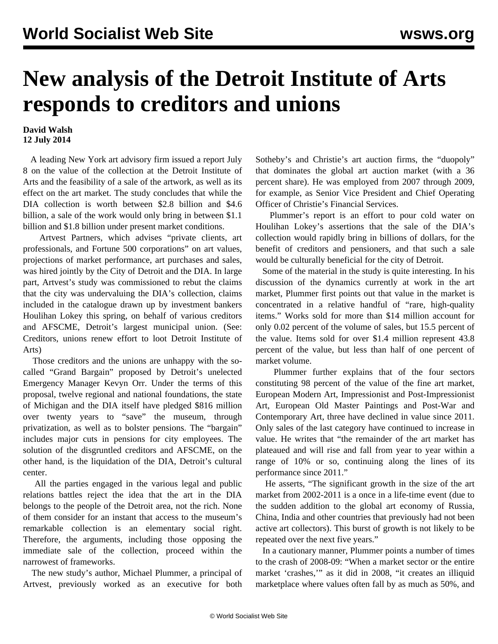## **New analysis of the Detroit Institute of Arts responds to creditors and unions**

## **David Walsh 12 July 2014**

 A leading New York art advisory firm issued a report July 8 on the value of the collection at the Detroit Institute of Arts and the feasibility of a sale of the artwork, as well as its effect on the art market. The study concludes that while the DIA collection is worth between \$2.8 billion and \$4.6 billion, a sale of the work would only bring in between \$1.1 billion and \$1.8 billion under present market conditions.

 Artvest Partners, which advises "private clients, art professionals, and Fortune 500 corporations" on art values, projections of market performance, art purchases and sales, was hired jointly by the City of Detroit and the DIA. In large part, Artvest's study was commissioned to rebut the claims that the city was undervaluing the DIA's collection, claims included in the catalogue drawn up by investment bankers Houlihan Lokey this spring, on behalf of various creditors and AFSCME, Detroit's largest municipal union. (See: [Creditors, unions renew effort to loot Detroit Institute of](/en/articles/2014/04/12/cred-a12.html) [Arts](/en/articles/2014/04/12/cred-a12.html))

 Those creditors and the unions are unhappy with the socalled "Grand Bargain" proposed by Detroit's unelected Emergency Manager Kevyn Orr. Under the terms of this proposal, twelve regional and national foundations, the state of Michigan and the DIA itself have pledged \$816 million over twenty years to "save" the museum, through privatization, as well as to bolster pensions. The "bargain" includes major cuts in pensions for city employees. The solution of the disgruntled creditors and AFSCME, on the other hand, is the liquidation of the DIA, Detroit's cultural center.

 All the parties engaged in the various legal and public relations battles reject the idea that the art in the DIA belongs to the people of the Detroit area, not the rich. None of them consider for an instant that access to the museum's remarkable collection is an elementary social right. Therefore, the arguments, including those opposing the immediate sale of the collection, proceed within the narrowest of frameworks.

 The new study's author, Michael Plummer, a principal of Artvest, previously worked as an executive for both Sotheby's and Christie's art auction firms, the "duopoly" that dominates the global art auction market (with a 36 percent share). He was employed from 2007 through 2009, for example, as Senior Vice President and Chief Operating Officer of Christie's Financial Services.

 Plummer's report is an effort to pour cold water on Houlihan Lokey's assertions that the sale of the DIA's collection would rapidly bring in billions of dollars, for the benefit of creditors and pensioners, and that such a sale would be culturally beneficial for the city of Detroit.

 Some of the material in the study is quite interesting. In his discussion of the dynamics currently at work in the art market, Plummer first points out that value in the market is concentrated in a relative handful of "rare, high-quality items." Works sold for more than \$14 million account for only 0.02 percent of the volume of sales, but 15.5 percent of the value. Items sold for over \$1.4 million represent 43.8 percent of the value, but less than half of one percent of market volume.

 Plummer further explains that of the four sectors constituting 98 percent of the value of the fine art market, European Modern Art, Impressionist and Post-Impressionist Art, European Old Master Paintings and Post-War and Contemporary Art, three have declined in value since 2011. Only sales of the last category have continued to increase in value. He writes that "the remainder of the art market has plateaued and will rise and fall from year to year within a range of 10% or so, continuing along the lines of its performance since 2011."

 He asserts, "The significant growth in the size of the art market from 2002-2011 is a once in a life-time event (due to the sudden addition to the global art economy of Russia, China, India and other countries that previously had not been active art collectors). This burst of growth is not likely to be repeated over the next five years."

 In a cautionary manner, Plummer points a number of times to the crash of 2008-09: "When a market sector or the entire market 'crashes,'" as it did in 2008, "it creates an illiquid marketplace where values often fall by as much as 50%, and